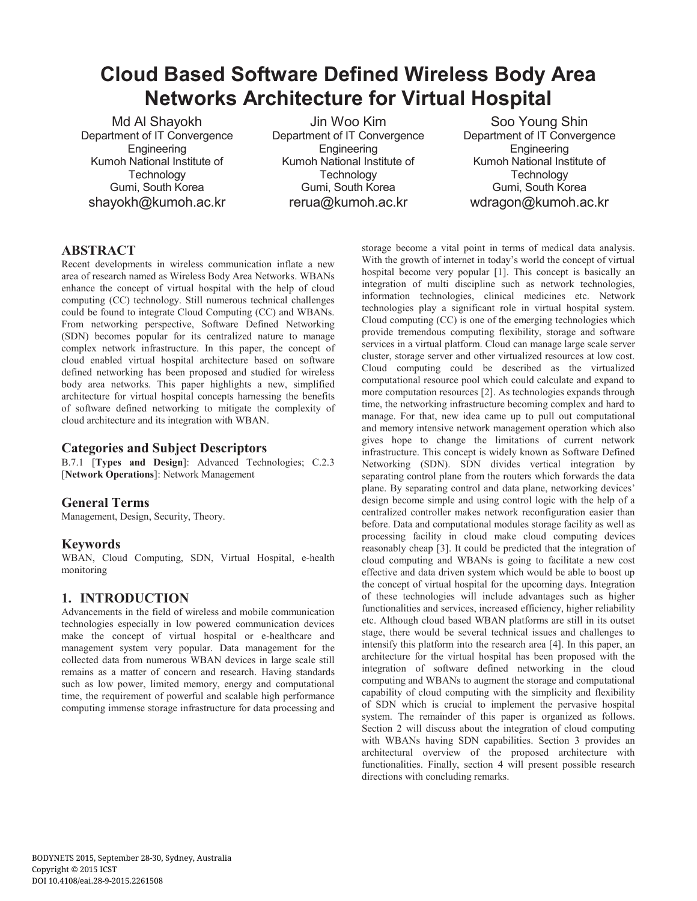# **Cloud Based Software Defined Wireless Body Area Networks Architecture for Virtual Hospital**

Md Al Shayokh Department of IT Convergence Engineering Kumoh National Institute of **Technology** Gumi, South Korea shayokh@kumoh.ac.kr

Jin Woo Kim Department of IT Convergence **Engineering** Kumoh National Institute of **Technology** Gumi, South Korea rerua@kumoh.ac.kr

Soo Young Shin Department of IT Convergence Engineering Kumoh National Institute of **Technology** Gumi, South Korea wdragon@kumoh.ac.kr

# **ABSTRACT**

Recent developments in wireless communication inflate a new area of research named as Wireless Body Area Networks. WBANs enhance the concept of virtual hospital with the help of cloud computing (CC) technology. Still numerous technical challenges could be found to integrate Cloud Computing (CC) and WBANs. From networking perspective, Software Defined Networking (SDN) becomes popular for its centralized nature to manage complex network infrastructure. In this paper, the concept of cloud enabled virtual hospital architecture based on software defined networking has been proposed and studied for wireless body area networks. This paper highlights a new, simplified architecture for virtual hospital concepts harnessing the benefits of software defined networking to mitigate the complexity of cloud architecture and its integration with WBAN.

### **Categories and Subject Descriptors**

B.7.1 [**Types and Design**]: Advanced Technologies; C.2.3 [**Network Operations**]: Network Management

# **General Terms**

Management, Design, Security, Theory.

# **Keywords**

WBAN, Cloud Computing, SDN, Virtual Hospital, e-health monitoring

# **1. INTRODUCTION**

Advancements in the field of wireless and mobile communication technologies especially in low powered communication devices make the concept of virtual hospital or e-healthcare and management system very popular. Data management for the collected data from numerous WBAN devices in large scale still remains as a matter of concern and research. Having standards such as low power, limited memory, energy and computational time, the requirement of powerful and scalable high performance computing immense storage infrastructure for data processing and storage become a vital point in terms of medical data analysis. With the growth of internet in today's world the concept of virtual hospital become very popular [1]. This concept is basically an integration of multi discipline such as network technologies, information technologies, clinical medicines etc. Network technologies play a significant role in virtual hospital system. Cloud computing (CC) is one of the emerging technologies which provide tremendous computing flexibility, storage and software services in a virtual platform. Cloud can manage large scale server cluster, storage server and other virtualized resources at low cost. Cloud computing could be described as the virtualized computational resource pool which could calculate and expand to more computation resources [2]. As technologies expands through time, the networking infrastructure becoming complex and hard to manage. For that, new idea came up to pull out computational and memory intensive network management operation which also gives hope to change the limitations of current network infrastructure. This concept is widely known as Software Defined Networking (SDN). SDN divides vertical integration by separating control plane from the routers which forwards the data plane. By separating control and data plane, networking devices' design become simple and using control logic with the help of a centralized controller makes network reconfiguration easier than before. Data and computational modules storage facility as well as processing facility in cloud make cloud computing devices reasonably cheap [3]. It could be predicted that the integration of cloud computing and WBANs is going to facilitate a new cost effective and data driven system which would be able to boost up the concept of virtual hospital for the upcoming days. Integration of these technologies will include advantages such as higher functionalities and services, increased efficiency, higher reliability etc. Although cloud based WBAN platforms are still in its outset stage, there would be several technical issues and challenges to intensify this platform into the research area [4]. In this paper, an architecture for the virtual hospital has been proposed with the integration of software defined networking in the cloud computing and WBANs to augment the storage and computational capability of cloud computing with the simplicity and flexibility of SDN which is crucial to implement the pervasive hospital system. The remainder of this paper is organized as follows. Section 2 will discuss about the integration of cloud computing with WBANs having SDN capabilities. Section 3 provides an architectural overview of the proposed architecture with functionalities. Finally, section 4 will present possible research directions with concluding remarks.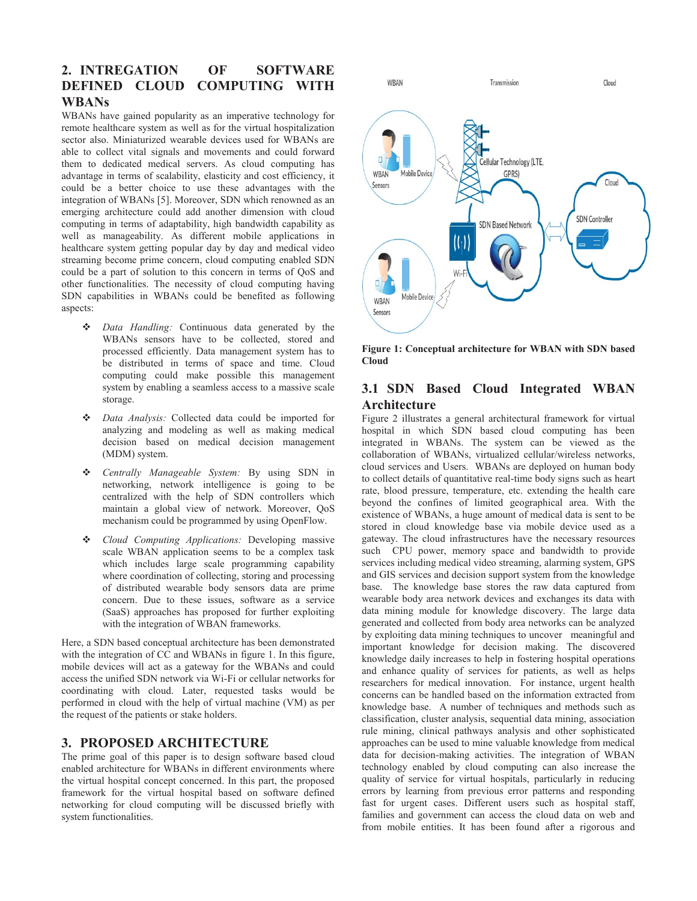# **2. INTREGATION OF SOFTWARE DEFINED CLOUD COMPUTING WITH WBANs**

WBANs have gained popularity as an imperative technology for remote healthcare system as well as for the virtual hospitalization sector also. Miniaturized wearable devices used for WBANs are able to collect vital signals and movements and could forward them to dedicated medical servers. As cloud computing has advantage in terms of scalability, elasticity and cost efficiency, it could be a better choice to use these advantages with the integration of WBANs [5]. Moreover, SDN which renowned as an emerging architecture could add another dimension with cloud computing in terms of adaptability, high bandwidth capability as well as manageability. As different mobile applications in healthcare system getting popular day by day and medical video streaming become prime concern, cloud computing enabled SDN could be a part of solution to this concern in terms of QoS and other functionalities. The necessity of cloud computing having SDN capabilities in WBANs could be benefited as following aspects:

- *Data Handling:* Continuous data generated by the WBANs sensors have to be collected, stored and processed efficiently. Data management system has to be distributed in terms of space and time. Cloud computing could make possible this management system by enabling a seamless access to a massive scale storage.
- *Data Analysis:* Collected data could be imported for analyzing and modeling as well as making medical decision based on medical decision management (MDM) system.
- *Centrally Manageable System:* By using SDN in networking, network intelligence is going to be centralized with the help of SDN controllers which maintain a global view of network. Moreover, QoS mechanism could be programmed by using OpenFlow.
- *Cloud Computing Applications:* Developing massive scale WBAN application seems to be a complex task which includes large scale programming capability where coordination of collecting, storing and processing of distributed wearable body sensors data are prime concern. Due to these issues, software as a service (SaaS) approaches has proposed for further exploiting with the integration of WBAN frameworks.

Here, a SDN based conceptual architecture has been demonstrated with the integration of CC and WBANs in figure 1. In this figure, mobile devices will act as a gateway for the WBANs and could access the unified SDN network via Wi-Fi or cellular networks for coordinating with cloud. Later, requested tasks would be performed in cloud with the help of virtual machine (VM) as per the request of the patients or stake holders.

#### **3. PROPOSED ARCHITECTURE**

The prime goal of this paper is to design software based cloud enabled architecture for WBANs in different environments where the virtual hospital concept concerned. In this part, the proposed framework for the virtual hospital based on software defined networking for cloud computing will be discussed briefly with system functionalities.



**Figure 1: Conceptual architecture for WBAN with SDN based Cloud** 

## **3.1 SDN Based Cloud Integrated WBAN Architecture**

Figure 2 illustrates a general architectural framework for virtual hospital in which SDN based cloud computing has been integrated in WBANs. The system can be viewed as the collaboration of WBANs, virtualized cellular/wireless networks, cloud services and Users. WBANs are deployed on human body to collect details of quantitative real-time body signs such as heart rate, blood pressure, temperature, etc. extending the health care beyond the confines of limited geographical area. With the existence of WBANs, a huge amount of medical data is sent to be stored in cloud knowledge base via mobile device used as a gateway. The cloud infrastructures have the necessary resources such CPU power, memory space and bandwidth to provide services including medical video streaming, alarming system, GPS and GIS services and decision support system from the knowledge base. The knowledge base stores the raw data captured from wearable body area network devices and exchanges its data with data mining module for knowledge discovery. The large data generated and collected from body area networks can be analyzed by exploiting data mining techniques to uncover meaningful and important knowledge for decision making. The discovered knowledge daily increases to help in fostering hospital operations and enhance quality of services for patients, as well as helps researchers for medical innovation. For instance, urgent health concerns can be handled based on the information extracted from knowledge base. A number of techniques and methods such as classification, cluster analysis, sequential data mining, association rule mining, clinical pathways analysis and other sophisticated approaches can be used to mine valuable knowledge from medical data for decision-making activities. The integration of WBAN technology enabled by cloud computing can also increase the quality of service for virtual hospitals, particularly in reducing errors by learning from previous error patterns and responding fast for urgent cases. Different users such as hospital staff, families and government can access the cloud data on web and from mobile entities. It has been found after a rigorous and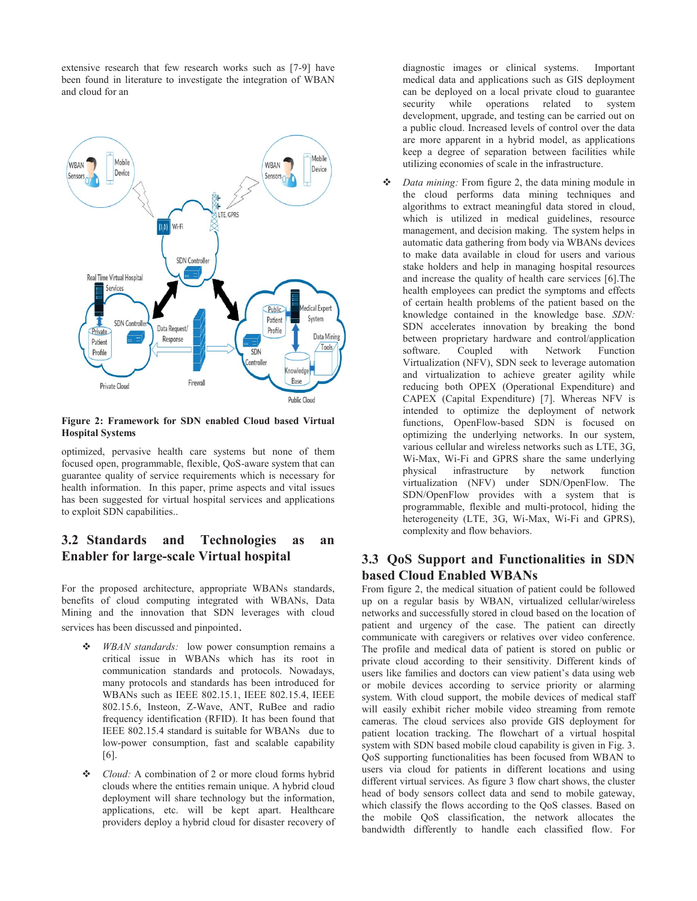extensive research that few research works such as [7-9] have been found in literature to investigate the integration of WBAN and cloud for an



**Figure 2: Framework for SDN enabled Cloud based Virtual Hospital Systems** 

optimized, pervasive health care systems but none of them focused open, programmable, flexible, QoS-aware system that can guarantee quality of service requirements which is necessary for health information. In this paper, prime aspects and vital issues has been suggested for virtual hospital services and applications to exploit SDN capabilities..

## **3.2 Standards and Technologies as an Enabler for large-scale Virtual hospital**

For the proposed architecture, appropriate WBANs standards, benefits of cloud computing integrated with WBANs, Data Mining and the innovation that SDN leverages with cloud services has been discussed and pinpointed.

- *WBAN standards:* low power consumption remains a critical issue in WBANs which has its root in communication standards and protocols. Nowadays, many protocols and standards has been introduced for WBANs such as IEEE 802.15.1, IEEE 802.15.4, IEEE 802.15.6, Insteon, Z-Wave, ANT, RuBee and radio frequency identification (RFID). It has been found that IEEE 802.15.4 standard is suitable for WBANs due to low-power consumption, fast and scalable capability [6].
- *Cloud:* A combination of 2 or more cloud forms hybrid clouds where the entities remain unique. A hybrid cloud deployment will share technology but the information, applications, etc. will be kept apart. Healthcare providers deploy a hybrid cloud for disaster recovery of

diagnostic images or clinical systems. Important medical data and applications such as GIS deployment can be deployed on a local private cloud to guarantee security while operations related to system development, upgrade, and testing can be carried out on a public cloud. Increased levels of control over the data are more apparent in a hybrid model, as applications keep a degree of separation between facilities while utilizing economies of scale in the infrastructure.

 *Data mining:* From figure 2, the data mining module in the cloud performs data mining techniques and algorithms to extract meaningful data stored in cloud, which is utilized in medical guidelines, resource management, and decision making. The system helps in automatic data gathering from body via WBANs devices to make data available in cloud for users and various stake holders and help in managing hospital resources and increase the quality of health care services [6].The health employees can predict the symptoms and effects of certain health problems of the patient based on the knowledge contained in the knowledge base. *SDN:* SDN accelerates innovation by breaking the bond between proprietary hardware and control/application software. Coupled with Network Function Virtualization (NFV), SDN seek to leverage automation and virtualization to achieve greater agility while reducing both OPEX (Operational Expenditure) and CAPEX (Capital Expenditure) [7]. Whereas NFV is intended to optimize the deployment of network functions, OpenFlow-based SDN is focused on optimizing the underlying networks. In our system, various cellular and wireless networks such as LTE, 3G, Wi-Max, Wi-Fi and GPRS share the same underlying physical infrastructure by network function virtualization (NFV) under SDN/OpenFlow. The SDN/OpenFlow provides with a system that is programmable, flexible and multi-protocol, hiding the heterogeneity (LTE, 3G, Wi-Max, Wi-Fi and GPRS), complexity and flow behaviors.

## **3.3 QoS Support and Functionalities in SDN based Cloud Enabled WBANs**

From figure 2, the medical situation of patient could be followed up on a regular basis by WBAN, virtualized cellular/wireless networks and successfully stored in cloud based on the location of patient and urgency of the case. The patient can directly communicate with caregivers or relatives over video conference. The profile and medical data of patient is stored on public or private cloud according to their sensitivity. Different kinds of users like families and doctors can view patient's data using web or mobile devices according to service priority or alarming system. With cloud support, the mobile devices of medical staff will easily exhibit richer mobile video streaming from remote cameras. The cloud services also provide GIS deployment for patient location tracking. The flowchart of a virtual hospital system with SDN based mobile cloud capability is given in Fig. 3. QoS supporting functionalities has been focused from WBAN to users via cloud for patients in different locations and using different virtual services. As figure 3 flow chart shows, the cluster head of body sensors collect data and send to mobile gateway, which classify the flows according to the QoS classes. Based on the mobile QoS classification, the network allocates the bandwidth differently to handle each classified flow. For